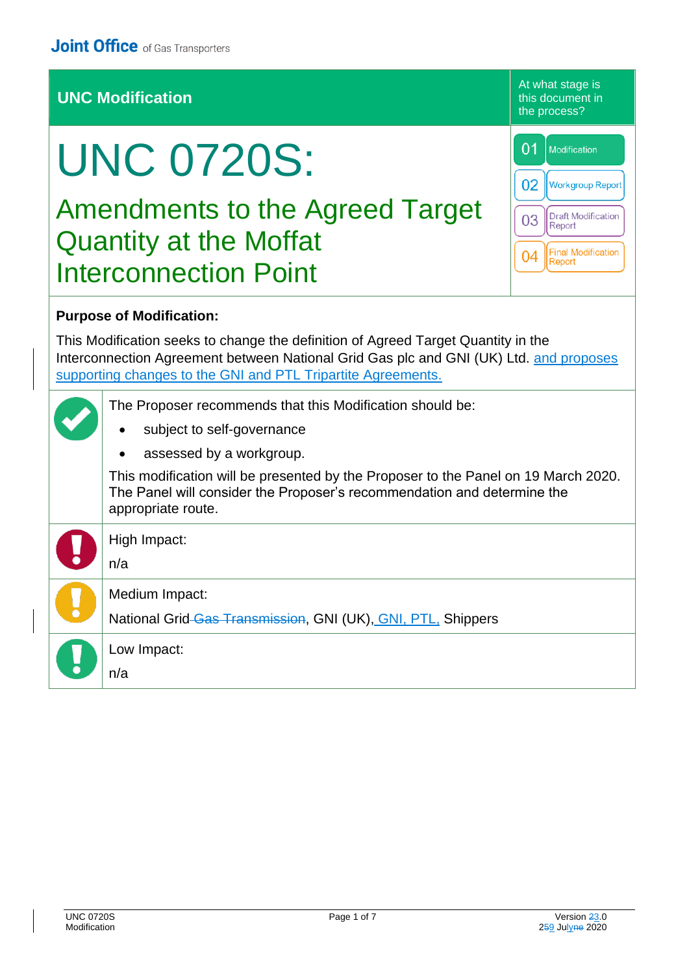## **UNC Modification**

At what stage is this document in the process?

# UNC 0720S:

Amendments to the Agreed Target Quantity at the Moffat Interconnection Point

| 01 | Modification                        |
|----|-------------------------------------|
| 02 | <b>Workgroup Report</b>             |
| 03 | <b>Draft Modification</b><br>Report |
|    | <b>Final Modification</b><br>Report |

#### **Purpose of Modification:**

This Modification seeks to change the definition of Agreed Target Quantity in the Interconnection Agreement between National Grid Gas plc and GNI (UK) Ltd. and proposes supporting changes to the GNI and PTL Tripartite Agreements.

| The Proposer recommends that this Modification should be:<br>subject to self-governance<br>$\bullet$                                                                                |
|-------------------------------------------------------------------------------------------------------------------------------------------------------------------------------------|
|                                                                                                                                                                                     |
| assessed by a workgroup.<br>$\bullet$                                                                                                                                               |
| This modification will be presented by the Proposer to the Panel on 19 March 2020.<br>The Panel will consider the Proposer's recommendation and determine the<br>appropriate route. |
| High Impact:                                                                                                                                                                        |
| n/a                                                                                                                                                                                 |
| Medium Impact:                                                                                                                                                                      |
| National Grid-Gas Transmission, GNI (UK), GNI, PTL, Shippers                                                                                                                        |
| Low Impact:                                                                                                                                                                         |
| n/a                                                                                                                                                                                 |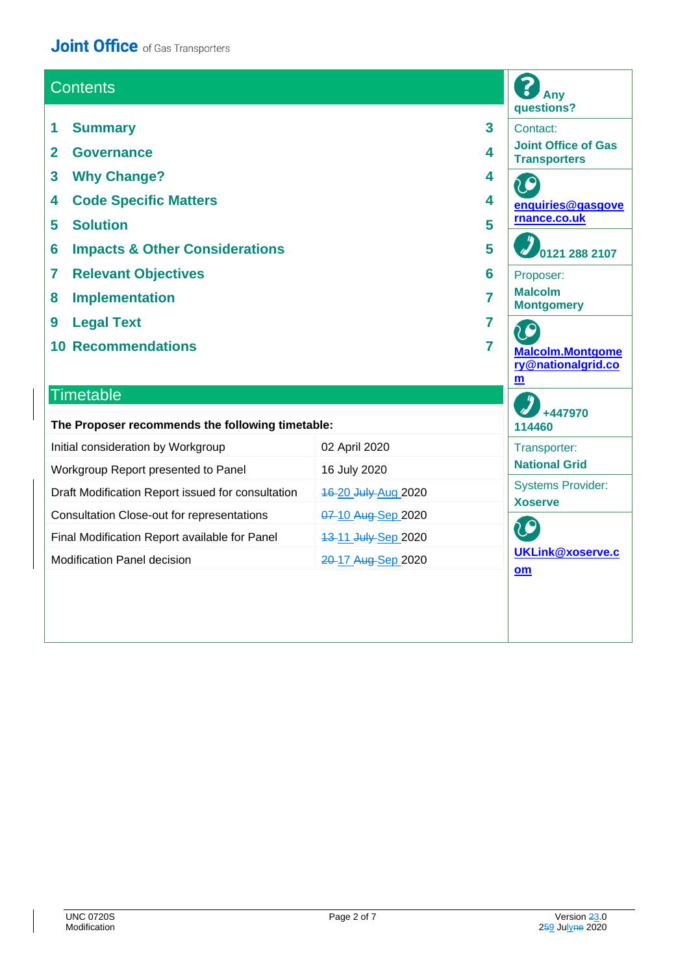## **Joint Office** of Gas Transporters

| <b>Contents</b>                                                                                                                                                                                                                                                                                                                                                                | Any<br>questions?   |  |                                                                                                                                                                                                                          |
|--------------------------------------------------------------------------------------------------------------------------------------------------------------------------------------------------------------------------------------------------------------------------------------------------------------------------------------------------------------------------------|---------------------|--|--------------------------------------------------------------------------------------------------------------------------------------------------------------------------------------------------------------------------|
| <b>Summary</b><br>3<br>1<br>$\overline{2}$<br><b>Governance</b><br>4<br>3<br><b>Why Change?</b><br>4<br><b>Code Specific Matters</b><br>4<br>4<br><b>Solution</b><br>5<br>5<br><b>Impacts &amp; Other Considerations</b><br>5<br>6<br><b>Relevant Objectives</b><br>7<br>6<br><b>Implementation</b><br>7<br>8<br><b>Legal Text</b><br>9<br>7<br><b>10 Recommendations</b><br>7 |                     |  | Contact:<br><b>Joint Office of Gas</b><br><b>Transporters</b><br>enquiries@gasgove<br>rnance.co.uk<br>0121 288 2107<br>Proposer:<br><b>Malcolm</b><br><b>Montgomery</b><br><b>Malcolm.Montgome</b><br>ry@nationalgrid.co |
| <b>Timetable</b><br>The Proposer recommends the following timetable:                                                                                                                                                                                                                                                                                                           |                     |  | m<br>+447970<br>114460                                                                                                                                                                                                   |
| Initial consideration by Workgroup                                                                                                                                                                                                                                                                                                                                             | 02 April 2020       |  | Transporter:                                                                                                                                                                                                             |
| Workgroup Report presented to Panel                                                                                                                                                                                                                                                                                                                                            | 16 July 2020        |  | <b>National Grid</b>                                                                                                                                                                                                     |
| Draft Modification Report issued for consultation                                                                                                                                                                                                                                                                                                                              | 16-20 July-Aug 2020 |  | <b>Systems Provider:</b><br><b>Xoserve</b>                                                                                                                                                                               |
| Consultation Close-out for representations                                                                                                                                                                                                                                                                                                                                     | 07-10 Aug-Sep 2020  |  |                                                                                                                                                                                                                          |
| Final Modification Report available for Panel                                                                                                                                                                                                                                                                                                                                  | 13-11 July-Sep 2020 |  | 20                                                                                                                                                                                                                       |
| Modification Panel decision                                                                                                                                                                                                                                                                                                                                                    | 20-17 Aug-Sep 2020  |  | <b>UKLink@xoserve.c</b><br>$om$                                                                                                                                                                                          |
|                                                                                                                                                                                                                                                                                                                                                                                |                     |  |                                                                                                                                                                                                                          |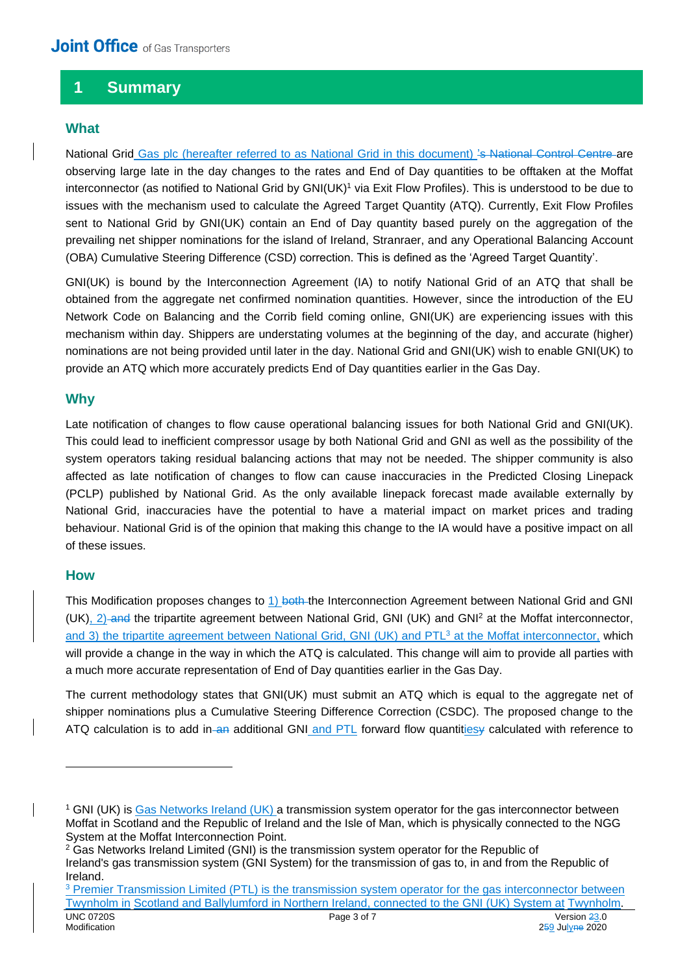## **1 Summary**

#### **What**

National Grid Gas plc (hereafter referred to as National Grid in this document) 's National Control Centre are observing large late in the day changes to the rates and End of Day quantities to be offtaken at the Moffat interconnector (as notified to National Grid by GNI(UK)<sup>1</sup> via Exit Flow Profiles). This is understood to be due to issues with the mechanism used to calculate the Agreed Target Quantity (ATQ). Currently, Exit Flow Profiles sent to National Grid by GNI(UK) contain an End of Day quantity based purely on the aggregation of the prevailing net shipper nominations for the island of Ireland, Stranraer, and any Operational Balancing Account (OBA) Cumulative Steering Difference (CSD) correction. This is defined as the 'Agreed Target Quantity'.

GNI(UK) is bound by the Interconnection Agreement (IA) to notify National Grid of an ATQ that shall be obtained from the aggregate net confirmed nomination quantities. However, since the introduction of the EU Network Code on Balancing and the Corrib field coming online, GNI(UK) are experiencing issues with this mechanism within day. Shippers are understating volumes at the beginning of the day, and accurate (higher) nominations are not being provided until later in the day. National Grid and GNI(UK) wish to enable GNI(UK) to provide an ATQ which more accurately predicts End of Day quantities earlier in the Gas Day.

#### **Why**

Late notification of changes to flow cause operational balancing issues for both National Grid and GNI(UK). This could lead to inefficient compressor usage by both National Grid and GNI as well as the possibility of the system operators taking residual balancing actions that may not be needed. The shipper community is also affected as late notification of changes to flow can cause inaccuracies in the Predicted Closing Linepack (PCLP) published by National Grid. As the only available linepack forecast made available externally by National Grid, inaccuracies have the potential to have a material impact on market prices and trading behaviour. National Grid is of the opinion that making this change to the IA would have a positive impact on all of these issues.

#### **How**

This Modification proposes changes to 1) both the Interconnection Agreement between National Grid and GNI (UK), 2) and the tripartite agreement between National Grid, GNI (UK) and GNI<sup>2</sup> at the Moffat interconnector, and 3) the tripartite agreement between National Grid, GNI (UK) and PTL<sup>3</sup> at the Moffat interconnector, which will provide a change in the way in which the ATQ is calculated. This change will aim to provide all parties with a much more accurate representation of End of Day quantities earlier in the Gas Day.

The current methodology states that GNI(UK) must submit an ATQ which is equal to the aggregate net of shipper nominations plus a Cumulative Steering Difference Correction (CSDC). The proposed change to the ATQ calculation is to add in-an additional GNI and PTL forward flow quantitiesy calculated with reference to

<sup>&</sup>lt;sup>1</sup> GNI (UK) is Gas Networks Ireland (UK) a transmission system operator for the gas interconnector between Moffat in Scotland and the Republic of Ireland and the Isle of Man, which is physically connected to the NGG System at the Moffat Interconnection Point.

<sup>&</sup>lt;sup>2</sup> Gas Networks Ireland Limited (GNI) is the transmission system operator for the Republic of Ireland's gas transmission system (GNI System) for the transmission of gas to, in and from the Republic of Ireland.

UNC 0720S Page 3 of 7 Version 23.0 Modification 259 Julyne 2020 <sup>3</sup> Premier Transmission Limited (PTL) is the transmission system operator for the gas interconnector between Twynholm in Scotland and Ballylumford in Northern Ireland, connected to the GNI (UK) System at Twynholm.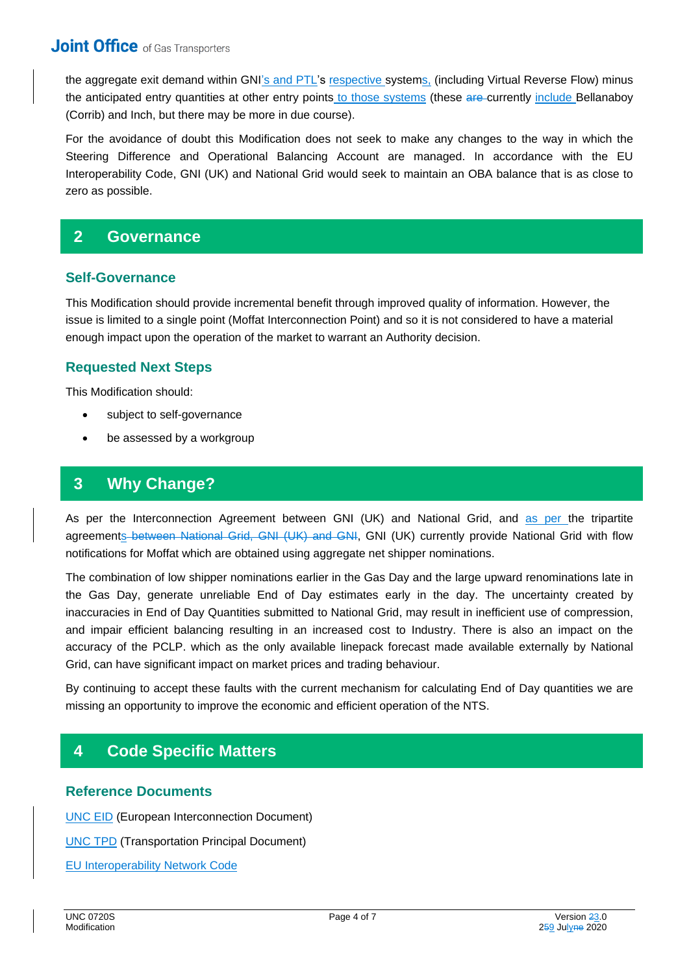the aggregate exit demand within GNI's and PTL's respective systems, (including Virtual Reverse Flow) minus the anticipated entry quantities at other entry points to those systems (these are currently include Bellanaboy (Corrib) and Inch, but there may be more in due course).

For the avoidance of doubt this Modification does not seek to make any changes to the way in which the Steering Difference and Operational Balancing Account are managed. In accordance with the EU Interoperability Code, GNI (UK) and National Grid would seek to maintain an OBA balance that is as close to zero as possible.

## **2 Governance**

#### **Self-Governance**

This Modification should provide incremental benefit through improved quality of information. However, the issue is limited to a single point (Moffat Interconnection Point) and so it is not considered to have a material enough impact upon the operation of the market to warrant an Authority decision.

### **Requested Next Steps**

This Modification should:

- subject to self-governance
- be assessed by a workgroup

## **3 Why Change?**

As per the Interconnection Agreement between GNI (UK) and National Grid, and as per the tripartite agreements between National Grid, GNI (UK) and GNI, GNI (UK) currently provide National Grid with flow notifications for Moffat which are obtained using aggregate net shipper nominations.

The combination of low shipper nominations earlier in the Gas Day and the large upward renominations late in the Gas Day, generate unreliable End of Day estimates early in the day. The uncertainty created by inaccuracies in End of Day Quantities submitted to National Grid, may result in inefficient use of compression, and impair efficient balancing resulting in an increased cost to Industry. There is also an impact on the accuracy of the PCLP. which as the only available linepack forecast made available externally by National Grid, can have significant impact on market prices and trading behaviour.

By continuing to accept these faults with the current mechanism for calculating End of Day quantities we are missing an opportunity to improve the economic and efficient operation of the NTS.

## **4 Code Specific Matters**

#### **Reference Documents**

[UNC EID](https://www.gasgovernance.co.uk/EID) (European Interconnection Document)

[UNC TPD](https://www.gasgovernance.co.uk/TPD) (Transportation Principal Document)

[EU Interoperability Network Code](https://eur-lex.europa.eu/legal-content/EN/TXT/?uri=CELEX%3A32015R0703)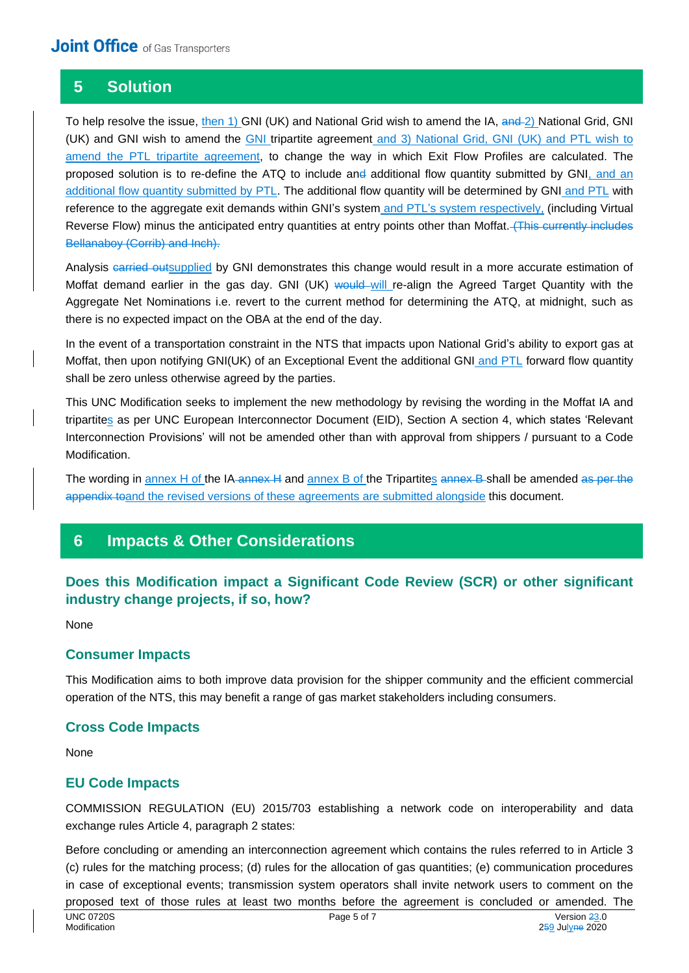## **5 Solution**

To help resolve the issue, then 1) GNI (UK) and National Grid wish to amend the IA, and 2) National Grid, GNI (UK) and GNI wish to amend the GNI tripartite agreement and 3) National Grid, GNI (UK) and PTL wish to amend the PTL tripartite agreement, to change the way in which Exit Flow Profiles are calculated. The proposed solution is to re-define the ATQ to include and additional flow quantity submitted by GNI, and an additional flow quantity submitted by PTL. The additional flow quantity will be determined by GNI and PTL with reference to the aggregate exit demands within GNI's system and PTL's system respectively, (including Virtual Reverse Flow) minus the anticipated entry quantities at entry points other than Moffat. (This currently includes Bellanaboy (Corrib) and Inch).

Analysis carried outsupplied by GNI demonstrates this change would result in a more accurate estimation of Moffat demand earlier in the gas day. GNI (UK) would will re-align the Agreed Target Quantity with the Aggregate Net Nominations i.e. revert to the current method for determining the ATQ, at midnight, such as there is no expected impact on the OBA at the end of the day.

In the event of a transportation constraint in the NTS that impacts upon National Grid's ability to export gas at Moffat, then upon notifying GNI(UK) of an Exceptional Event the additional GNI and PTL forward flow quantity shall be zero unless otherwise agreed by the parties.

This UNC Modification seeks to implement the new methodology by revising the wording in the Moffat IA and tripartites as per UNC European Interconnector Document (EID), Section A section 4, which states 'Relevant Interconnection Provisions' will not be amended other than with approval from shippers / pursuant to a Code Modification.

The wording in annex H of the IA-annex H and annex B of the Tripartites annex B-shall be amended as per the appendix toand the revised versions of these agreements are submitted alongside this document.

## **6 Impacts & Other Considerations**

## **Does this Modification impact a Significant Code Review (SCR) or other significant industry change projects, if so, how?**

None

#### **Consumer Impacts**

This Modification aims to both improve data provision for the shipper community and the efficient commercial operation of the NTS, this may benefit a range of gas market stakeholders including consumers.

#### **Cross Code Impacts**

None

#### **EU Code Impacts**

COMMISSION REGULATION (EU) 2015/703 establishing a network code on interoperability and data exchange rules Article 4, paragraph 2 states:

Before concluding or amending an interconnection agreement which contains the rules referred to in Article 3 (c) rules for the matching process; (d) rules for the allocation of gas quantities; (e) communication procedures in case of exceptional events; transmission system operators shall invite network users to comment on the proposed text of those rules at least two months before the agreement is concluded or amended. The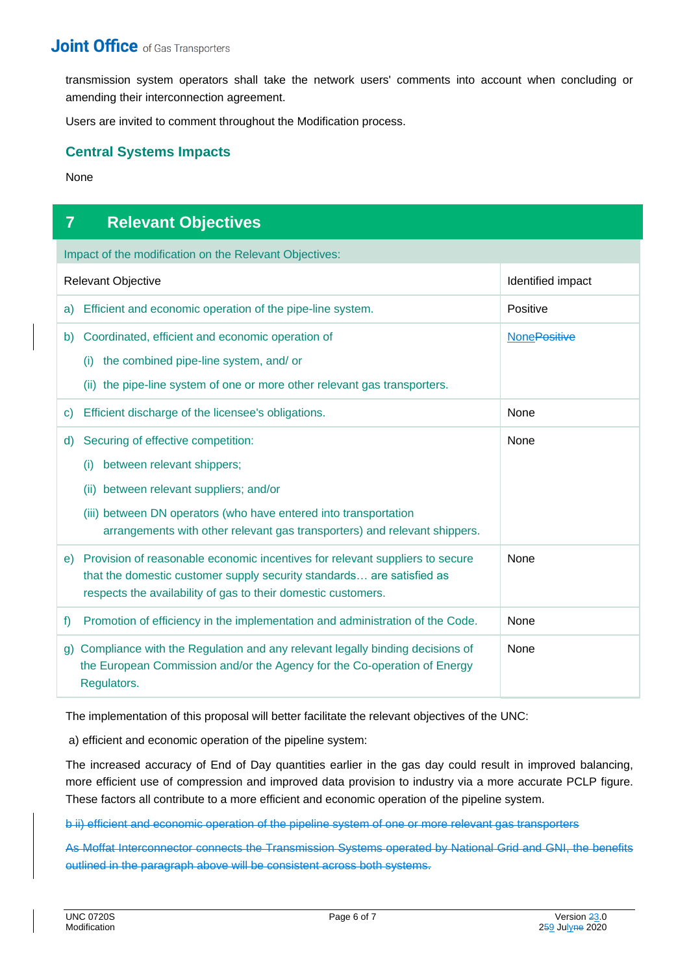transmission system operators shall take the network users' comments into account when concluding or amending their interconnection agreement.

Users are invited to comment throughout the Modification process.

#### **Central Systems Impacts**

None

## **7 Relevant Objectives**

Impact of the modification on the Relevant Objectives:

| Relevant Objective                                                                                                                                                                                                                                                           | Identified impact   |
|------------------------------------------------------------------------------------------------------------------------------------------------------------------------------------------------------------------------------------------------------------------------------|---------------------|
| Efficient and economic operation of the pipe-line system.<br>a)                                                                                                                                                                                                              | Positive            |
| Coordinated, efficient and economic operation of<br>b)<br>the combined pipe-line system, and/ or<br>(i)<br>(ii) the pipe-line system of one or more other relevant gas transporters.                                                                                         | <b>NonePositive</b> |
| Efficient discharge of the licensee's obligations.<br>$\mathsf{C}$                                                                                                                                                                                                           | None                |
| Securing of effective competition:<br>d)<br>between relevant shippers;<br>(i)<br>between relevant suppliers; and/or<br>(ii)<br>(iii) between DN operators (who have entered into transportation<br>arrangements with other relevant gas transporters) and relevant shippers. | None                |
| e) Provision of reasonable economic incentives for relevant suppliers to secure<br>that the domestic customer supply security standards are satisfied as<br>respects the availability of gas to their domestic customers.                                                    | None                |
| Promotion of efficiency in the implementation and administration of the Code.<br>f                                                                                                                                                                                           | None                |
| Compliance with the Regulation and any relevant legally binding decisions of<br>g)<br>the European Commission and/or the Agency for the Co-operation of Energy<br>Regulators.                                                                                                | None                |

The implementation of this proposal will better facilitate the relevant objectives of the UNC:

a) efficient and economic operation of the pipeline system:

The increased accuracy of End of Day quantities earlier in the gas day could result in improved balancing, more efficient use of compression and improved data provision to industry via a more accurate PCLP figure. These factors all contribute to a more efficient and economic operation of the pipeline system.

b ii) efficient and economic operation of the pipeline system of one or more relevant gas transporters

As Moffat Interconnector connects the Transmission Systems operated by National Grid and GNI, the benefits outlined in the paragraph above will be consistent across both systems.